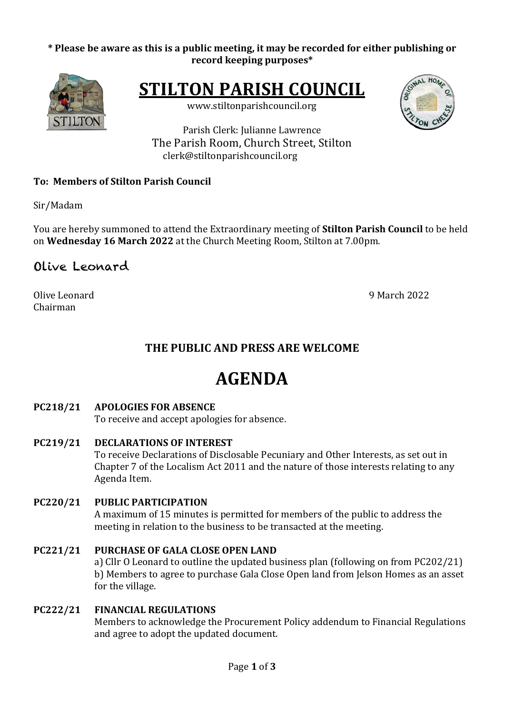## \* Please be aware as this is a public meeting, it may be recorded for either publishing or **record keeping purposes\***



**STILTON PARISH COUNCIL** 

www.stiltonparishcouncil.org



Parish Clerk: Julianne Lawrence The Parish Room, Church Street, Stilton clerk@stiltonparishcouncil.org

# **To: Members of Stilton Parish Council**

Sir/Madam

You are hereby summoned to attend the Extraordinary meeting of **Stilton Parish Council** to be held on **Wednesday 16 March 2022** at the Church Meeting Room, Stilton at 7.00pm.

# Olive Leonard

Olive Leonard 9 March 2022 Chairman

# **THE PUBLIC AND PRESS ARE WELCOME**

# **AGENDA**

#### **PC218/21 APOLOGIES FOR ABSENCE**

To receive and accept apologies for absence.

- **PC219/21 DECLARATIONS OF INTEREST** To receive Declarations of Disclosable Pecuniary and Other Interests, as set out in Chapter 7 of the Localism Act 2011 and the nature of those interests relating to any Agenda Item.
- **PC220/21 PUBLIC PARTICIPATION** A maximum of 15 minutes is permitted for members of the public to address the meeting in relation to the business to be transacted at the meeting.

#### **PC221/21 PURCHASE OF GALA CLOSE OPEN LAND** a) Cllr O Leonard to outline the updated business plan (following on from PC202/21) b) Members to agree to purchase Gala Close Open land from Jelson Homes as an asset for the village.

# **PC222/21 FINANCIAL REGULATIONS**

Members to acknowledge the Procurement Policy addendum to Financial Regulations and agree to adopt the updated document.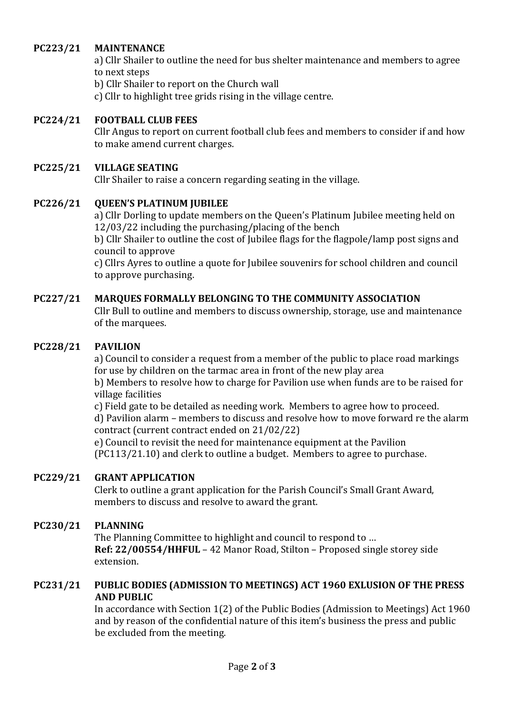#### **PC223/21 MAINTENANCE**

a) Cllr Shailer to outline the need for bus shelter maintenance and members to agree to next steps

b) Cllr Shailer to report on the Church wall

c) Cllr to highlight tree grids rising in the village centre.

#### **PC224/21 FOOTBALL CLUB FEES**

Cllr Angus to report on current football club fees and members to consider if and how to make amend current charges.

#### **PC225/21 VILLAGE SEATING**

Cllr Shailer to raise a concern regarding seating in the village.

#### **PC226/21 QUEEN'S PLATINUM JUBILEE**

a) Cllr Dorling to update members on the Queen's Platinum Jubilee meeting held on  $12/03/22$  including the purchasing/placing of the bench

b) Cllr Shailer to outline the cost of Jubilee flags for the flagpole/lamp post signs and council to approve

c) Cllrs Ayres to outline a quote for Jubilee souvenirs for school children and council to approve purchasing.

#### **PC227/21 MARQUES FORMALLY BELONGING TO THE COMMUNITY ASSOCIATION**

Cllr Bull to outline and members to discuss ownership, storage, use and maintenance of the marquees.

#### **PC228/21 PAVILION**

a) Council to consider a request from a member of the public to place road markings for use by children on the tarmac area in front of the new play area

b) Members to resolve how to charge for Pavilion use when funds are to be raised for village facilities

c) Field gate to be detailed as needing work. Members to agree how to proceed. d) Pavilion alarm – members to discuss and resolve how to move forward re the alarm contract (current contract ended on 21/02/22)

e) Council to revisit the need for maintenance equipment at the Pavilion  $(PC113/21.10)$  and clerk to outline a budget. Members to agree to purchase.

#### **PC229/21 GRANT APPLICATION**

Clerk to outline a grant application for the Parish Council's Small Grant Award, members to discuss and resolve to award the grant.

#### **PC230/21 PLANNING**

The Planning Committee to highlight and council to respond to ... **Ref: 22/00554/HHFUL** – 42 Manor Road, Stilton – Proposed single storey side extension.

#### **PC231/21** PUBLIC BODIES (ADMISSION TO MEETINGS) ACT 1960 EXLUSION OF THE PRESS **AND PUBLIC**

In accordance with Section 1(2) of the Public Bodies (Admission to Meetings) Act 1960 and by reason of the confidential nature of this item's business the press and public be excluded from the meeting.